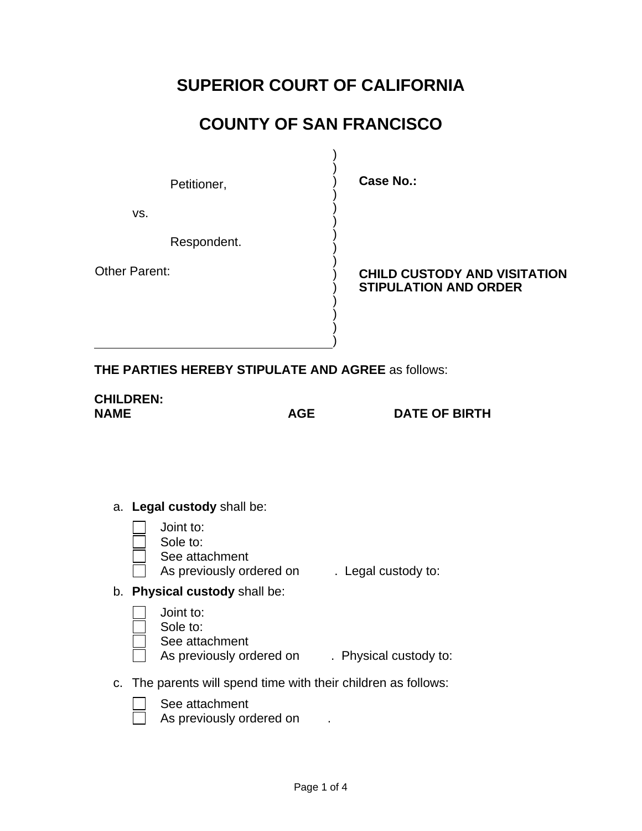# **SUPERIOR COURT OF CALIFORNIA**

# **COUNTY OF SAN FRANCISCO**

) ) ) ) ) ) ) ) ) ) ) ) ) ) )

Petitioner,

**Case No.:** 

vs.

Respondent.

Other Parent:

**CHILD CUSTODY AND VISITATION STIPULATION AND ORDER** 

**THE PARTIES HEREBY STIPULATE AND AGREE** as follows:

**CHILDREN:** 

**NAME AGE DATE OF BIRTH**

- a. **Legal custody** shall be:
	- Joint to:
	- Sole to:
	- See attachment
	- As previously ordered on . Legal custody to:
- b. **Physical custody** shall be:
	- Joint to: Sole to: See attachment As previously ordered on . Physical custody to:
- c. The parents will spend time with their children as follows:
	- See attachment
		- As previously ordered on  $\qquad$ .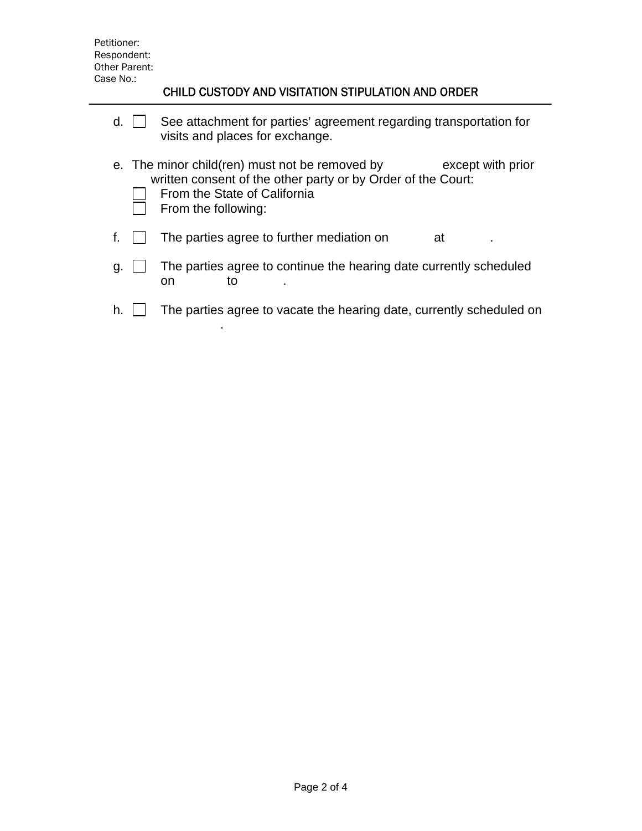### CHILD CUSTODY AND VISITATION STIPULATION AND ORDER

| d. | See attachment for parties' agreement regarding transportation for<br>visits and places for exchange.                                                                                      |
|----|--------------------------------------------------------------------------------------------------------------------------------------------------------------------------------------------|
|    | e. The minor child(ren) must not be removed by<br>except with prior<br>written consent of the other party or by Order of the Court:<br>From the State of California<br>From the following: |
|    | The parties agree to further mediation on<br>at                                                                                                                                            |
| g. | The parties agree to continue the hearing date currently scheduled<br>to<br>on                                                                                                             |
| h. | The parties agree to vacate the hearing date, currently scheduled on                                                                                                                       |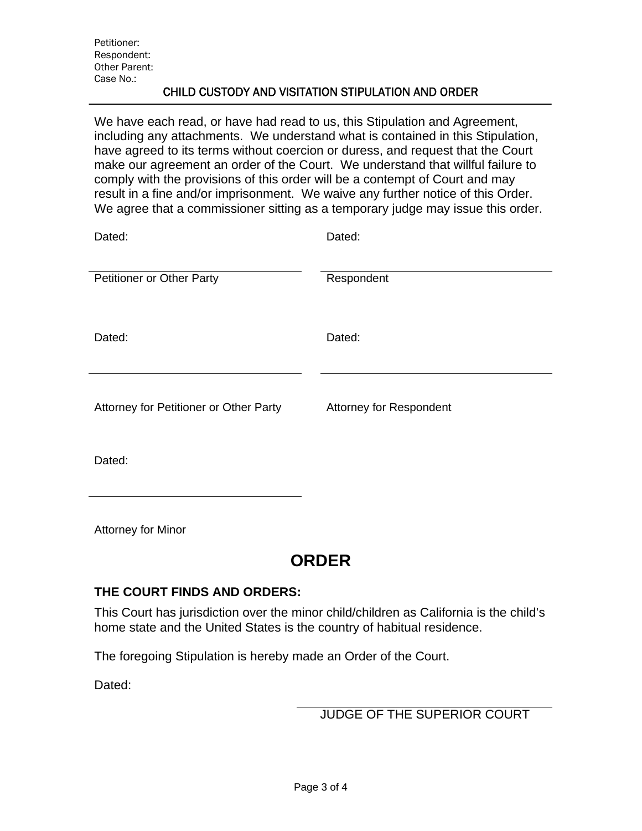#### CHILD CUSTODY AND VISITATION STIPULATION AND ORDER

We have each read, or have had read to us, this Stipulation and Agreement, including any attachments. We understand what is contained in this Stipulation, have agreed to its terms without coercion or duress, and request that the Court make our agreement an order of the Court. We understand that willful failure to comply with the provisions of this order will be a contempt of Court and may result in a fine and/or imprisonment. We waive any further notice of this Order. We agree that a commissioner sitting as a temporary judge may issue this order.

| Dated:                                 | Dated:                  |
|----------------------------------------|-------------------------|
| <b>Petitioner or Other Party</b>       | Respondent              |
| Dated:                                 | Dated:                  |
| Attorney for Petitioner or Other Party | Attorney for Respondent |
| Dated:                                 |                         |

Attorney for Minor

### **ORDER**

#### **THE COURT FINDS AND ORDERS:**

This Court has jurisdiction over the minor child/children as California is the child's home state and the United States is the country of habitual residence.

The foregoing Stipulation is hereby made an Order of the Court.

Dated:

JUDGE OF THE SUPERIOR COURT